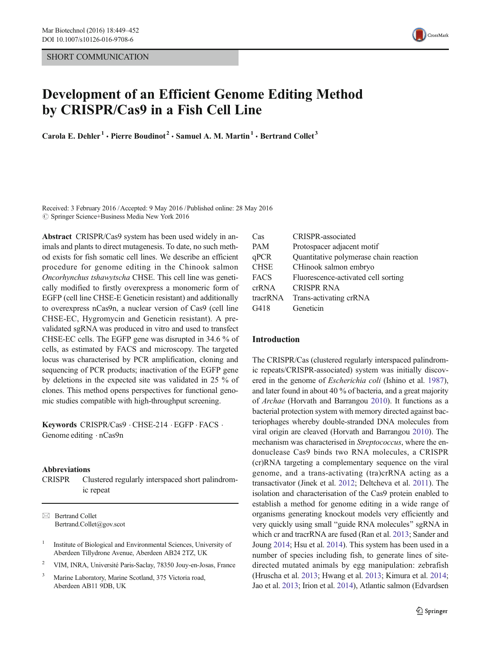SHORT COMMUNICATION



# Development of an Efficient Genome Editing Method by CRISPR/Cas9 in a Fish Cell Line

Carola E. Dehler<sup>1</sup> · Pierre Boudinot<sup>2</sup> · Samuel A. M. Martin<sup>1</sup> · Bertrand Collet<sup>3</sup>

Received: 3 February 2016 /Accepted: 9 May 2016 /Published online: 28 May 2016  $\circ$  Springer Science+Business Media New York 2016

Abstract CRISPR/Cas9 system has been used widely in animals and plants to direct mutagenesis. To date, no such method exists for fish somatic cell lines. We describe an efficient procedure for genome editing in the Chinook salmon Oncorhynchus tshawytscha CHSE. This cell line was genetically modified to firstly overexpress a monomeric form of EGFP (cell line CHSE-E Geneticin resistant) and additionally to overexpress nCas9n, a nuclear version of Cas9 (cell line CHSE-EC, Hygromycin and Geneticin resistant). A prevalidated sgRNA was produced in vitro and used to transfect CHSE-EC cells. The EGFP gene was disrupted in 34.6 % of cells, as estimated by FACS and microscopy. The targeted locus was characterised by PCR amplification, cloning and sequencing of PCR products; inactivation of the EGFP gene by deletions in the expected site was validated in 25 % of clones. This method opens perspectives for functional genomic studies compatible with high-throughput screening.

Keywords CRISPR/Cas9 . CHSE-214 . EGFP . FACS . Genome editing  $\cdot$  nCas9n

#### Abbreviations

CRISPR Clustered regularly interspaced short palindromic repeat

 $\boxtimes$  Bertrand Collet Bertrand.Collet@gov.scot

- <sup>1</sup> Institute of Biological and Environmental Sciences, University of Aberdeen Tillydrone Avenue, Aberdeen AB24 2TZ, UK
- <sup>2</sup> VIM, INRA, Université Paris-Saclay, 78350 Jouy-en-Josas, France
- <sup>3</sup> Marine Laboratory, Marine Scotland, 375 Victoria road, Aberdeen AB11 9DB, UK

| Cas         | <b>CRISPR-associated</b>               |
|-------------|----------------------------------------|
| PAM         | Protospacer adjacent motif             |
| qPCR        | Quantitative polymerase chain reaction |
| <b>CHSE</b> | CHinook salmon embryo                  |
| FACS        | Fluorescence-activated cell sorting    |
| crRNA       | <b>CRISPR RNA</b>                      |
| tracrRNA    | Trans-activating crRNA                 |
| G418        | Geneticin                              |
|             |                                        |

#### Introduction

The CRISPR/Cas (clustered regularly interspaced palindromic repeats/CRISPR-associated) system was initially discovered in the genome of Escherichia coli (Ishino et al. [1987\)](#page-3-0), and later found in about 40 % of bacteria, and a great majority of Archae (Horvath and Barrangou [2010\)](#page-3-0). It functions as a bacterial protection system with memory directed against bacteriophages whereby double-stranded DNA molecules from viral origin are cleaved (Horvath and Barrangou [2010](#page-3-0)). The mechanism was characterised in Streptococcus, where the endonuclease Cas9 binds two RNA molecules, a CRISPR (cr)RNA targeting a complementary sequence on the viral genome, and a trans-activating (tra)crRNA acting as a transactivator (Jinek et al. [2012](#page-3-0); Deltcheva et al. [2011](#page-3-0)). The isolation and characterisation of the Cas9 protein enabled to establish a method for genome editing in a wide range of organisms generating knockout models very efficiently and very quickly using small "guide RNA molecules" sgRNA in which cr and tracrRNA are fused (Ran et al. [2013](#page-3-0); Sander and Joung [2014;](#page-3-0) Hsu et al. [2014\)](#page-3-0). This system has been used in a number of species including fish, to generate lines of sitedirected mutated animals by egg manipulation: zebrafish (Hruscha et al. [2013](#page-3-0); Hwang et al. [2013;](#page-3-0) Kimura et al. [2014;](#page-3-0) Jao et al. [2013;](#page-3-0) Irion et al. [2014](#page-3-0)), Atlantic salmon (Edvardsen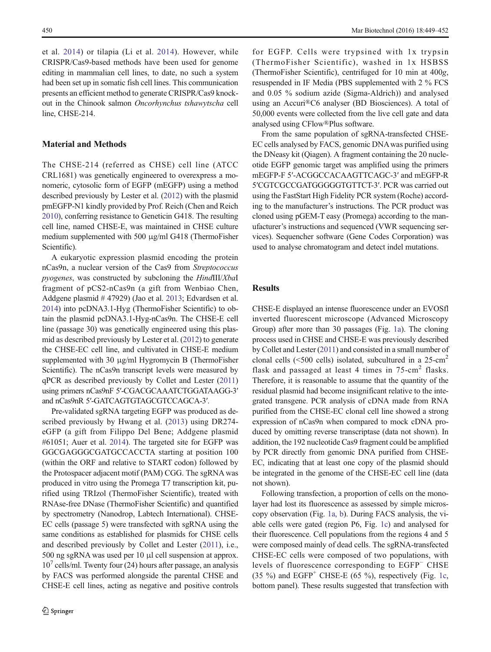et al. [2014\)](#page-3-0) or tilapia (Li et al. [2014\)](#page-3-0). However, while CRISPR/Cas9-based methods have been used for genome editing in mammalian cell lines, to date, no such a system had been set up in somatic fish cell lines. This communication presents an efficient method to generate CRISPR/Cas9 knockout in the Chinook salmon Oncorhynchus tshawytscha cell line, CHSE-214.

# Material and Methods

The CHSE-214 (referred as CHSE) cell line (ATCC CRL1681) was genetically engineered to overexpress a monomeric, cytosolic form of EGFP (mEGFP) using a method described previously by Lester et al. [\(2012](#page-3-0)) with the plasmid pmEGFP-N1 kindly provided by Prof. Reich (Chen and Reich [2010\)](#page-3-0), conferring resistance to Geneticin G418. The resulting cell line, named CHSE-E, was maintained in CHSE culture medium supplemented with 500 μg/ml G418 (ThermoFisher Scientific).

A eukaryotic expression plasmid encoding the protein nCas9n, a nuclear version of the Cas9 from Streptococcus pyogenes, was constructed by subcloning the HindIII/XbaI fragment of pCS2-nCas9n (a gift from Wenbiao Chen, Addgene plasmid # 47929) (Jao et al. [2013;](#page-3-0) Edvardsen et al. [2014\)](#page-3-0) into pcDNA3.1-Hyg (ThermoFisher Scientific) to obtain the plasmid pcDNA3.1-Hyg-nCas9n. The CHSE-E cell line (passage 30) was genetically engineered using this plasmid as described previously by Lester et al. [\(2012\)](#page-3-0) to generate the CHSE-EC cell line, and cultivated in CHSE-E medium supplemented with 30 μg/ml Hygromycin B (ThermoFisher Scientific). The nCas9n transcript levels were measured by qPCR as described previously by Collet and Lester [\(2011\)](#page-3-0) using primers nCas9nF 5′-CGACGCAAATCTGGATAAGG-3′ and nCas9nR 5′-GATCAGTGTAGCGTCCAGCA-3′.

Pre-validated sgRNA targeting EGFP was produced as described previously by Hwang et al. ([2013](#page-3-0)) using DR274 eGFP (a gift from Filippo Del Bene; Addgene plasmid #61051; Auer et al. [2014\)](#page-3-0). The targeted site for EGFP was GGCGAGGGCGATGCCACCTA starting at position 100 (within the ORF and relative to START codon) followed by the Protospacer adjacent motif (PAM) CGG. The sgRNA was produced in vitro using the Promega T7 transcription kit, purified using TRIzol (ThermoFisher Scientific), treated with RNAse-free DNase (ThermoFisher Scientific) and quantified by spectrometry (Nanodrop, Labtech International). CHSE-EC cells (passage 5) were transfected with sgRNA using the same conditions as established for plasmids for CHSE cells and described previously by Collet and Lester ([2011](#page-3-0)), i.e., 500 ng sgRNA was used per 10 μl cell suspension at approx.  $10<sup>7</sup>$  cells/ml. Twenty four (24) hours after passage, an analysis by FACS was performed alongside the parental CHSE and CHSE-E cell lines, acting as negative and positive controls

for EGFP. Cells were trypsined with 1x trypsin (ThermoFisher Scientific), washed in 1x HSBSS (ThermoFisher Scientific), centrifuged for 10 min at 400g, resuspended in IF Media (PBS supplemented with 2 % FCS and 0.05 % sodium azide (Sigma-Aldrich)) and analysed using an Accuri®C6 analyser (BD Biosciences). A total of 50,000 events were collected from the live cell gate and data analysed using CFlow®Plus software.

From the same population of sgRNA-transfected CHSE-EC cells analysed by FACS, genomic DNAwas purified using the DNeasy kit (Qiagen). A fragment containing the 20 nucleotide EGFP genomic target was amplified using the primers mEGFP-F 5′-ACGGCCACAAGTTCAGC-3′ and mEGFP-R 5′CGTCGCCGATGGGGGTGTTCT-3′. PCR was carried out using the FastStart High Fidelity PCR system (Roche) according to the manufacturer's instructions. The PCR product was cloned using pGEM-T easy (Promega) according to the manufacturer's instructions and sequenced (VWR sequencing services). Sequencher software (Gene Codes Corporation) was used to analyse chromatogram and detect indel mutations.

# Results

CHSE-E displayed an intense fluorescence under an EVOSfl inverted fluorescent microscope (Advanced Microscopy Group) after more than 30 passages (Fig. [1a\)](#page-2-0). The cloning process used in CHSE and CHSE-E was previously described by Collet and Lester [\(2011](#page-3-0)) and consisted in a small number of clonal cells ( $\leq$ 500 cells) isolated, subcultured in a 25-cm<sup>2</sup> flask and passaged at least 4 times in  $75 \text{-} cm^2$  flasks. Therefore, it is reasonable to assume that the quantity of the residual plasmid had become insignificant relative to the integrated transgene. PCR analysis of cDNA made from RNA purified from the CHSE-EC clonal cell line showed a strong expression of nCas9n when compared to mock cDNA produced by omitting reverse transcriptase (data not shown). In addition, the 192 nucleotide Cas9 fragment could be amplified by PCR directly from genomic DNA purified from CHSE-EC, indicating that at least one copy of the plasmid should be integrated in the genome of the CHSE-EC cell line (data not shown).

Following transfection, a proportion of cells on the monolayer had lost its fluorescence as assessed by simple microscopy observation (Fig. [1a, b\)](#page-2-0). During FACS analysis, the viable cells were gated (region P6, Fig. [1c\)](#page-2-0) and analysed for their fluorescence. Cell populations from the regions 4 and 5 were composed mainly of dead cells. The sgRNA-transfected CHSE-EC cells were composed of two populations, with levels of fluorescence corresponding to EGFP<sup>−</sup> CHSE (35 %) and EGFP<sup>+</sup> CHSE-E (65 %), respectively (Fig. [1c,](#page-2-0) bottom panel). These results suggested that transfection with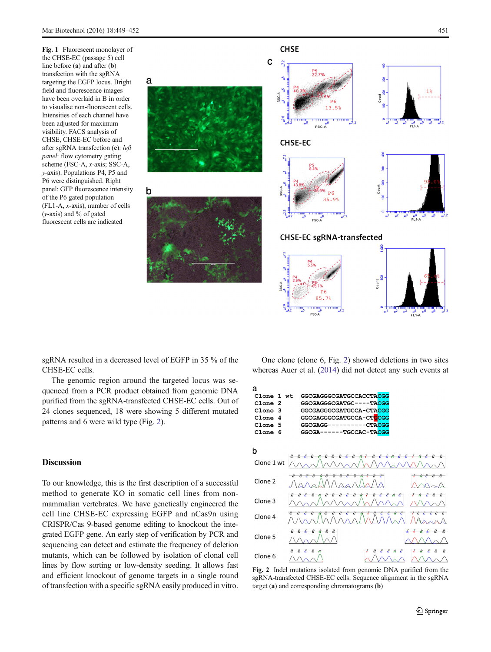<span id="page-2-0"></span>Fig. 1 Fluorescent monolayer of the CHSE-EC (passage 5) cell line before (a) and after (b) transfection with the sgRNA targeting the EGFP locus. Bright field and fluorescence images have been overlaid in B in order to visualise non-fluorescent cells. Intensities of each channel have been adjusted for maximum visibility. FACS analysis of CHSE, CHSE-EC before and after sgRNA transfection (c): left panel: flow cytometry gating scheme (FSC-A, x-axis; SSC-A, y-axis). Populations P4, P5 and P6 were distinguished. Right panel: GFP fluorescence intensity of the P6 gated population (FL1-A, x-axis), number of cells (y-axis) and % of gated fluorescent cells are indicated



sgRNA resulted in a decreased level of EGFP in 35 % of the CHSE-EC cells.

a

b

The genomic region around the targeted locus was sequenced from a PCR product obtained from genomic DNA purified from the sgRNA-transfected CHSE-EC cells. Out of 24 clones sequenced, 18 were showing 5 different mutated patterns and 6 were wild type (Fig. 2).

# Discussion

To our knowledge, this is the first description of a successful method to generate KO in somatic cell lines from nonmammalian vertebrates. We have genetically engineered the cell line CHSE-EC expressing EGFP and nCas9n using CRISPR/Cas 9-based genome editing to knockout the integrated EGFP gene. An early step of verification by PCR and sequencing can detect and estimate the frequency of deletion mutants, which can be followed by isolation of clonal cell lines by flow sorting or low-density seeding. It allows fast and efficient knockout of genome targets in a single round of transfection with a specific sgRNA easily produced in vitro.

One clone (clone 6, Fig. 2) showed deletions in two sites whereas Auer et al. ([2014](#page-3-0)) did not detect any such events at



Fig. 2 Indel mutations isolated from genomic DNA purified from the sgRNA-transfected CHSE-EC cells. Sequence alignment in the sgRNA target (a) and corresponding chromatograms (b)